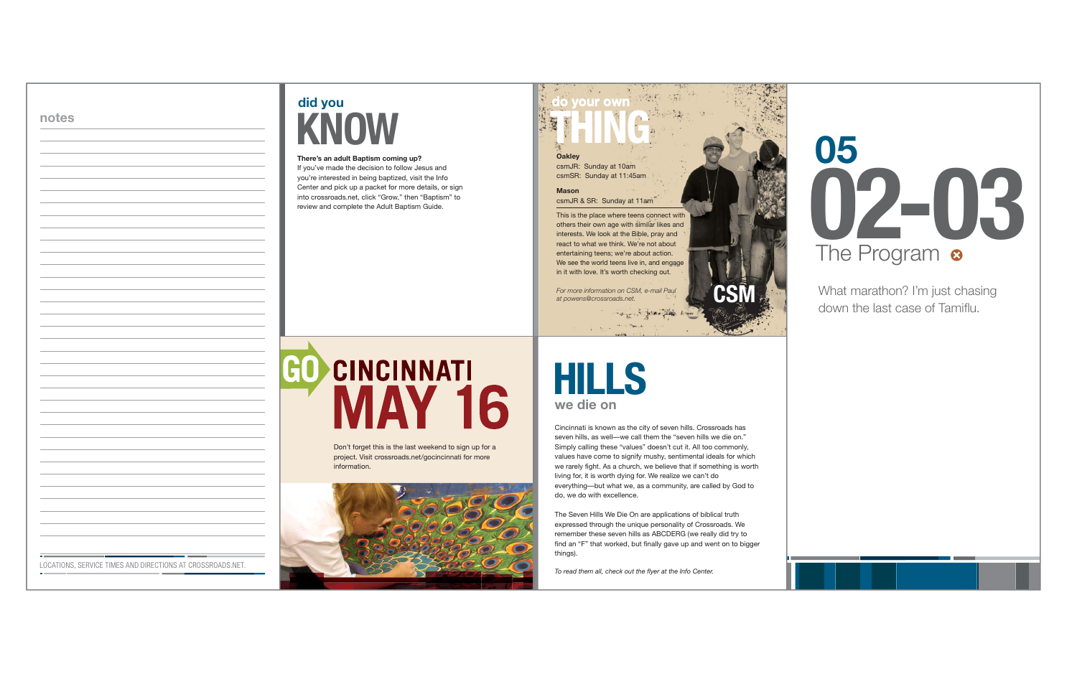Don't forget this is the last weekend to sign up for a project. Visit crossroads.net/gocincinnati for more information.



### **do your own THING**

**Oakley** csmJR: Sunday at 10am csmSR: Sunday at 11:45am

#### **Mason**

csmJR & SR: Sunday at 11am

# did you **KNOW**

This is the place where teens connect with others their own age with similar likes and interests. We look at the Bible, pray and react to what we think. We're not about entertaining teens; we're about action. We see the world teens live in, and engage in it with love. It's worth checking out.

*For more information on CSM, e-mail Paul at powens@crossroads.net.* **CSM**

#### **There's an adult Baptism coming up?**

If you've made the decision to follow Jesus and you're interested in being baptized, visit the Info Center and pick up a packet for more details, or sign into crossroads.net, click "Grow," then "Baptism" to review and complete the Adult Baptism Guide.

# GO **CINCINNATI MAY 16**

Cincinnati is known as the city of seven hills. Crossroads has seven hills, as well—we call them the "seven hills we die on." Simply calling these "values" doesn't cut it. All too commonly, values have come to signify mushy, sentimental ideals for which we rarely fight. As a church, we believe that if something is worth living for, it is worth dying for. We realize we can't do everything—but what we, as a community, are called by God to do, we do with excellence.

dell'antiche de

**HILLS we die on**

The Seven Hills We Die On are applications of biblical truth expressed through the unique personality of Crossroads. We remember these seven hills as ABCDERG (we really did try to find an "F" that worked, but finally gave up and went on to bigger things).

*To read them all, check out the flyer at the Info Center.*

What marathon? I'm just chasing down the last case of Tamiflu.



**notes**

LOCATIONS, SERVICE TIMES AND DIRECTIONS AT CROSSROADS.NET.